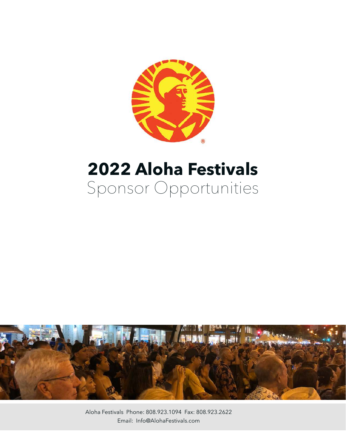

# **2022 Aloha Festivals**  Sponsor Opportunities



Aloha Festivals Phone: 808.923.1094 Fax: 808.923.2622 Email: Info@AlohaFestivals.com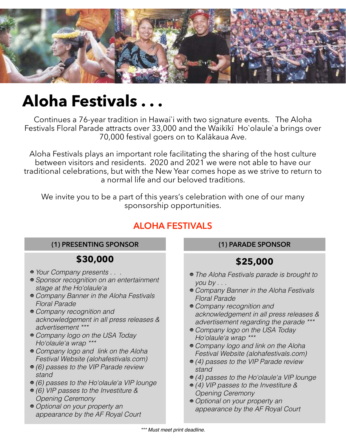

# **Aloha Festivals . . .**

Continues a 76-year tradition in Hawai`i with two signature events. The Aloha Festivals Floral Parade attracts over 33,000 and the Waikīkī Ho`olaule`a brings over 70,000 festival goers on to Kalākaua Ave.

Aloha Festivals plays an important role facilitating the sharing of the host culture between visitors and residents. 2020 and 2021 we were not able to have our traditional celebrations, but with the New Year comes hope as we strive to return to a normal life and our beloved traditions.

We invite you to be a part of this years's celebration with one of our many sponsorship opportunities.

### **ALOHA FESTIVALS**

#### **(1) PRESENTING SPONSOR**

### **\$30,000**

- Your Company presents . . .
- Sponsor recognition on an entertainment stage at the Ho'olaule'a
- Company Banner in the Aloha Festivals Floral Parade
- Company recognition and acknowledgement in all press releases & advertisement \*\*\*
- Company logo on the USA Today Ho'olaule'a wrap \*\*\*
- Company logo and link on the Aloha Festival Website (alohafestivals.com)
- (6) passes to the VIP Parade review stand
- (6) passes to the Ho'olaule'a VIP lounge
- (6) VIP passes to the Investiture & Opening Ceremony
- Optional on your property an appearance by the AF Royal Court

#### **(1) PARADE SPONSOR**

## **\$25,000**

- The Aloha Festivals parade is brought to you by . . .
- Company Banner in the Aloha Festivals Floral Parade
- Company recognition and acknowledgement in all press releases & advertisement regarding the parade \*\*\*
- Company logo on the USA Today Ho'olaule'a wrap \*\*\*
- Company logo and link on the Aloha Festival Website (alohafestivals.com)
- (4) passes to the VIP Parade review stand
- (4) passes to the Ho'olaule'a VIP lounge
- (4) VIP passes to the Investiture & Opening Ceremony
- Optional on your property an appearance by the AF Royal Court

\*\*\* Must meet print deadline.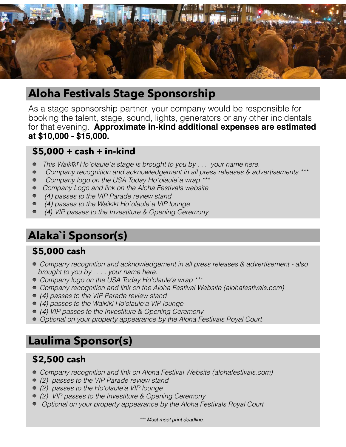

## **Aloha Festivals Stage Sponsorship**

As a stage sponsorship partner, your company would be responsible for booking the talent, stage, sound, lights, generators or any other incidentals for that evening. **Approximate in-kind additional expenses are estimated at \$10,000 - \$15,000.**

#### **\$5,000 + cash + in-kind**

- This Waikīkī Ho`olaule`a stage is brought to you by . . . your name here.  $\bullet$
- Company recognition and acknowledgement in all press releases & advertisements \*\*\*  $\bullet$
- Company logo on the USA Today Ho`olaule`a wrap \*\*\*
- Company Logo and link on the Aloha Festivals website
- (*4*) passes to the VIP Parade review stand
- (*4*) passes to the Waikīkī Ho`olaule`a VIP lounge
- (*4)* VIP passes to the Investiture & Opening Ceremony

# **Alaka`i Sponsor(s)**

### **\$5,000 cash**

- Company recognition and acknowledgement in all press releases & advertisement also brought to you by . . . . your name here.
- Company logo on the USA Today Ho'olaule'a wrap \*\*\*
- Company recognition and link on the Aloha Festival Website (alohafestivals.com)
- (4) passes to the VIP Parade review stand
- (4) passes to the Waikiki Ho'olaule'a VIP lounge
- (4) VIP passes to the Investiture & Opening Ceremony
- Optional on your property appearance by the Aloha Festivals Royal Court

# **Laulima Sponsor(s)**

### **\$2,500 cash**

- Company recognition and link on Aloha Festival Website (alohafestivals.com)
- (2) passes to the VIP Parade review stand
- (2) passes to the Ho'olaule'a VIP lounge
- (2) VIP passes to the Investiture & Opening Ceremony
- Optional on your property appearance by the Aloha Festivals Royal Court

\*\*\* Must meet print deadline.